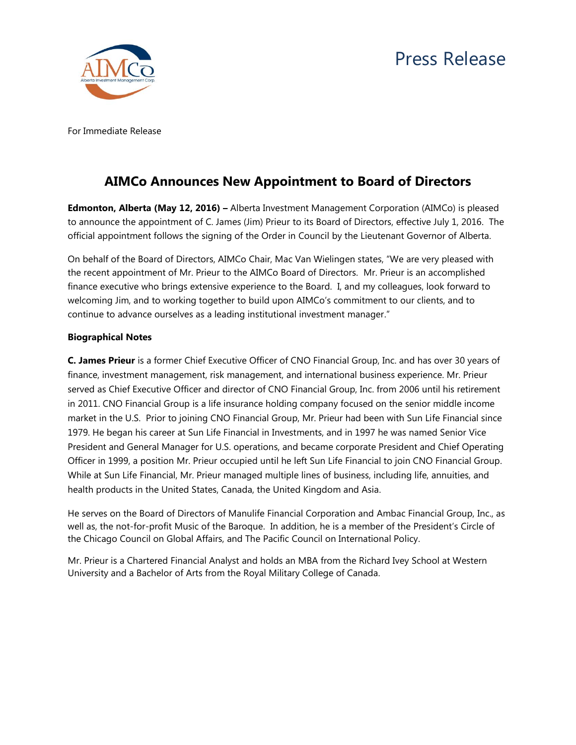

For Immediate Release

## **AIMCo Announces New Appointment to Board of Directors**

**Edmonton, Alberta (May 12, 2016) –** Alberta Investment Management Corporation (AIMCo) is pleased to announce the appointment of C. James (Jim) Prieur to its Board of Directors, effective July 1, 2016. The official appointment follows the signing of the Order in Council by the Lieutenant Governor of Alberta.

On behalf of the Board of Directors, AIMCo Chair, Mac Van Wielingen states, "We are very pleased with the recent appointment of Mr. Prieur to the AIMCo Board of Directors. Mr. Prieur is an accomplished finance executive who brings extensive experience to the Board. I, and my colleagues, look forward to welcoming Jim, and to working together to build upon AIMCo's commitment to our clients, and to continue to advance ourselves as a leading institutional investment manager."

## **Biographical Notes**

**C. James Prieur** is a former Chief Executive Officer of CNO Financial Group, Inc. and has over 30 years of finance, investment management, risk management, and international business experience. Mr. Prieur served as Chief Executive Officer and director of CNO Financial Group, Inc. from 2006 until his retirement in 2011. CNO Financial Group is a life insurance holding company focused on the senior middle income market in the U.S. Prior to joining CNO Financial Group, Mr. Prieur had been with Sun Life Financial since 1979. He began his career at Sun Life Financial in Investments, and in 1997 he was named Senior Vice President and General Manager for U.S. operations, and became corporate President and Chief Operating Officer in 1999, a position Mr. Prieur occupied until he left Sun Life Financial to join CNO Financial Group. While at Sun Life Financial, Mr. Prieur managed multiple lines of business, including life, annuities, and health products in the United States, Canada, the United Kingdom and Asia.

He serves on the Board of Directors of Manulife Financial Corporation and Ambac Financial Group, Inc., as well as, the not-for-profit Music of the Baroque. In addition, he is a member of the President's Circle of the Chicago Council on Global Affairs, and The Pacific Council on International Policy.

Mr. Prieur is a Chartered Financial Analyst and holds an MBA from the Richard Ivey School at Western University and a Bachelor of Arts from the Royal Military College of Canada.